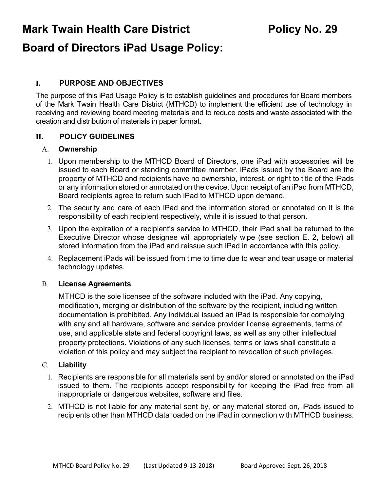**Mark Twain Health Care District Fig. 29 Policy No. 29** 

# **Board of Directors iPad Usage Policy:**

# **I. PURPOSE AND OBJECTIVES**

The purpose of this iPad Usage Policy is to establish guidelines and procedures for Board members of the Mark Twain Health Care District (MTHCD) to implement the efficient use of technology in receiving and reviewing board meeting materials and to reduce costs and waste associated with the creation and distribution of materials in paper format.

# **II. POLICY GUIDELINES**

#### A. **Ownership**

- 1. Upon membership to the MTHCD Board of Directors, one iPad with accessories will be issued to each Board or standing committee member. iPads issued by the Board are the property of MTHCD and recipients have no ownership, interest, or right to title of the iPads or any information stored or annotated on the device. Upon receipt of an iPad from MTHCD, Board recipients agree to return such iPad to MTHCD upon demand.
- 2. The security and care of each iPad and the information stored or annotated on it is the responsibility of each recipient respectively, while it is issued to that person.
- 3. Upon the expiration of a recipient's service to MTHCD, their iPad shall be returned to the Executive Director whose designee will appropriately wipe (see section E. 2, below) all stored information from the iPad and reissue such iPad in accordance with this policy.
- 4. Replacement iPads will be issued from time to time due to wear and tear usage or material technology updates.

# B. **License Agreements**

MTHCD is the sole licensee of the software included with the iPad. Any copying, modification, merging or distribution of the software by the recipient, including written documentation is prohibited. Any individual issued an iPad is responsible for complying with any and all hardware, software and service provider license agreements, terms of use, and applicable state and federal copyright laws, as well as any other intellectual property protections. Violations of any such licenses, terms or laws shall constitute a violation of this policy and may subject the recipient to revocation of such privileges.

#### C. **Liability**

- 1. Recipients are responsible for all materials sent by and/or stored or annotated on the iPad issued to them. The recipients accept responsibility for keeping the iPad free from all inappropriate or dangerous websites, software and files.
- 2. MTHCD is not liable for any material sent by, or any material stored on, iPads issued to recipients other than MTHCD data loaded on the iPad in connection with MTHCD business.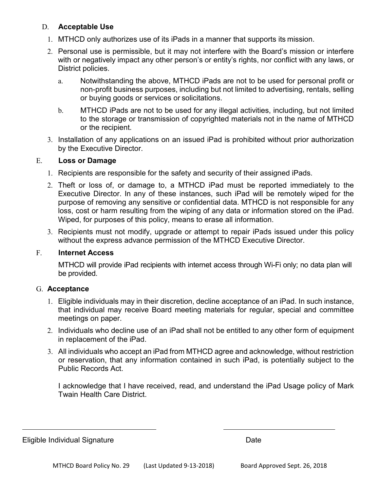# D. **Acceptable Use**

- 1. MTHCD only authorizes use of its iPads in a manner that supports its mission.
- 2. Personal use is permissible, but it may not interfere with the Board's mission or interfere with or negatively impact any other person's or entity's rights, nor conflict with any laws, or District policies.
	- a. Notwithstanding the above, MTHCD iPads are not to be used for personal profit or non-profit business purposes, including but not limited to advertising, rentals, selling or buying goods or services or solicitations.
	- b. MTHCD iPads are not to be used for any illegal activities, including, but not limited to the storage or transmission of copyrighted materials not in the name of MTHCD or the recipient.
- 3. Installation of any applications on an issued iPad is prohibited without prior authorization by the Executive Director.

# E. **Loss or Damage**

- 1. Recipients are responsible for the safety and security of their assigned iPads.
- 2. Theft or loss of, or damage to, a MTHCD iPad must be reported immediately to the Executive Director. In any of these instances, such iPad will be remotely wiped for the purpose of removing any sensitive or confidential data. MTHCD is not responsible for any loss, cost or harm resulting from the wiping of any data or information stored on the iPad. Wiped, for purposes of this policy, means to erase all information.
- 3. Recipients must not modify, upgrade or attempt to repair iPads issued under this policy without the express advance permission of the MTHCD Executive Director.

# F. **Internet Access**

MTHCD will provide iPad recipients with internet access through Wi-Fi only; no data plan will be provided.

# G. **Acceptance**

- 1. Eligible individuals may in their discretion, decline acceptance of an iPad. In such instance, that individual may receive Board meeting materials for regular, special and committee meetings on paper.
- 2. Individuals who decline use of an iPad shall not be entitled to any other form of equipment in replacement of the iPad.
- 3. All individuals who accept an iPad from MTHCD agree and acknowledge, without restriction or reservation, that any information contained in such iPad, is potentially subject to the Public Records Act.

I acknowledge that I have received, read, and understand the iPad Usage policy of Mark Twain Health Care District.

Eligible Individual Signature **Date** Date **Date**